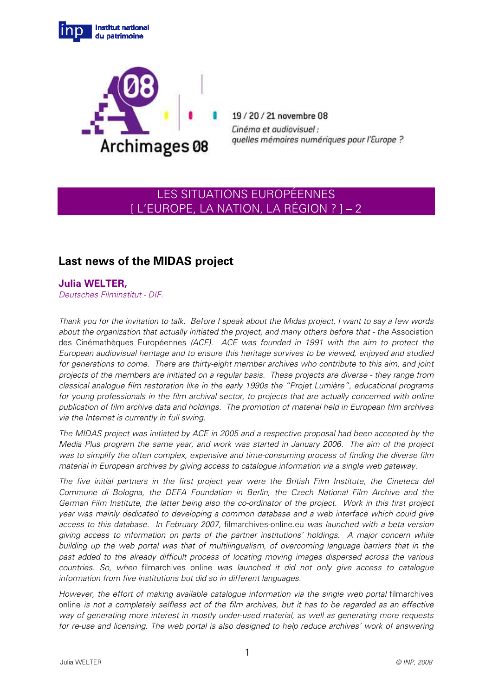



19/20/21 novembre 08 Cinéma et audiovisuel : quelles mémoires numériques pour l'Europe ?

# LES SITUATIONS EUROPÉENNES [ L'EUROPE, LA NATION, LA RÉGION ? ] – 2

## **Last news of the MIDAS project**

### **Julia WELTER,**

Deutsches Filminstitut - DIF.

Thank you for the invitation to talk. Before I speak about the Midas project, I want to say a few words about the organization that actually initiated the project, and many others before that - the Association des Cinémathèques Européennes (ACE). ACE was founded in 1991 with the aim to protect the European audiovisual heritage and to ensure this heritage survives to be viewed, enjoyed and studied for generations to come. There are thirty-eight member archives who contribute to this aim, and joint projects of the members are initiated on a regular basis. These projects are diverse - they range from classical analogue film restoration like in the early 1990s the "Projet Lumière", educational programs for young professionals in the film archival sector, to projects that are actually concerned with online publication of film archive data and holdings. The promotion of material held in European film archives via the Internet is currently in full swing.

The MIDAS project was initiated by ACE in 2005 and a respective proposal had been accepted by the Media Plus program the same year, and work was started in January 2006. The aim of the project was to simplify the often complex, expensive and time-consuming process of finding the diverse film material in European archives by giving access to catalogue information via a single web gateway.

The five initial partners in the first project year were the British Film Institute, the Cineteca del Commune di Bologna, the DEFA Foundation in Berlin, the Czech National Film Archive and the German Film Institute, the latter being also the co-ordinator of the project. Work in this first project year was mainly dedicated to developing a common database and a web interface which could give access to this database. In February 2007, filmarchives-online.eu was launched with a beta version giving access to information on parts of the partner institutions' holdings. A major concern while building up the web portal was that of multilingualism, of overcoming language barriers that in the past added to the already difficult process of locating moving images dispersed across the various countries. So, when filmarchives online was launched it did not only give access to catalogue information from five institutions but did so in different languages.

However, the effort of making available catalogue information via the single web portal filmarchives online is not a completely selfless act of the film archives, but it has to be regarded as an effective way of generating more interest in mostly under-used material, as well as generating more requests for re-use and licensing. The web portal is also designed to help reduce archives' work of answering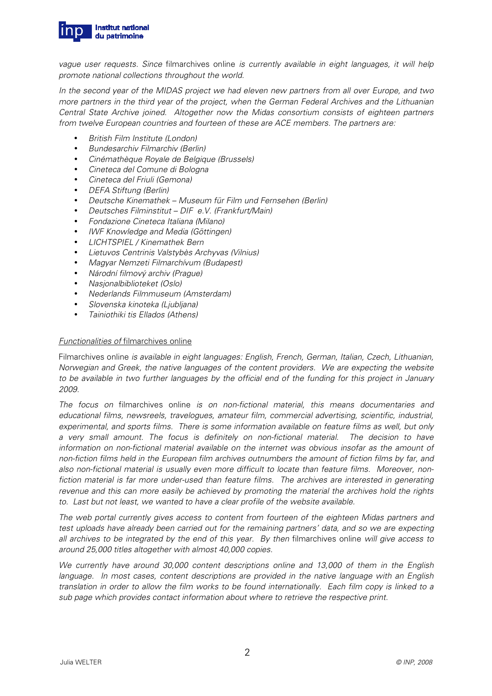

vague user requests. Since filmarchives online is currently available in eight languages, it will help promote national collections throughout the world.

In the second year of the MIDAS project we had eleven new partners from all over Europe, and two more partners in the third year of the project, when the German Federal Archives and the Lithuanian Central State Archive joined. Altogether now the Midas consortium consists of eighteen partners from twelve European countries and fourteen of these are ACE members. The partners are:

- British Film Institute (London)
- Bundesarchiv Filmarchiv (Berlin)
- Cinémathèque Royale de Belgique (Brussels)
- Cineteca del Comune di Bologna
- Cineteca del Friuli (Gemona)
- DEFA Stiftung (Berlin)
- Deutsche Kinemathek Museum für Film und Fernsehen (Berlin)
- Deutsches Filminstitut DIF e.V. (Frankfurt/Main)
- Fondazione Cineteca Italiana (Milano)
- IWF Knowledge and Media (Göttingen)
- LICHTSPIEL / Kinemathek Bern
- Lietuvos Centrinis Valstybès Archyvas (Vilnius)
- Magyar Nemzeti Filmarchívum (Budapest)
- Národní filmový archiv (Prague)
- Nasjonalbiblioteket (Oslo)
- Nederlands Filmmuseum (Amsterdam)
- Slovenska kinoteka (Ljubljana)
- Tainiothiki tis Ellados (Athens)

#### Functionalities of filmarchives online

Filmarchives online is available in eight languages: English, French, German, Italian, Czech, Lithuanian, Norwegian and Greek, the native languages of the content providers. We are expecting the website to be available in two further languages by the official end of the funding for this project in January 2009.

The focus on filmarchives online is on non-fictional material, this means documentaries and educational films, newsreels, travelogues, amateur film, commercial advertising, scientific, industrial, experimental, and sports films. There is some information available on feature films as well, but only a very small amount. The focus is definitely on non-fictional material. The decision to have information on non-fictional material available on the internet was obvious insofar as the amount of non-fiction films held in the European film archives outnumbers the amount of fiction films by far, and also non-fictional material is usually even more difficult to locate than feature films. Moreover, nonfiction material is far more under-used than feature films. The archives are interested in generating revenue and this can more easily be achieved by promoting the material the archives hold the rights to. Last but not least, we wanted to have a clear profile of the website available.

The web portal currently gives access to content from fourteen of the eighteen Midas partners and test uploads have already been carried out for the remaining partners' data, and so we are expecting all archives to be integrated by the end of this year. By then filmarchives online will give access to around 25,000 titles altogether with almost 40,000 copies.

We currently have around 30,000 content descriptions online and 13,000 of them in the English language. In most cases, content descriptions are provided in the native language with an English translation in order to allow the film works to be found internationally. Each film copy is linked to a sub page which provides contact information about where to retrieve the respective print.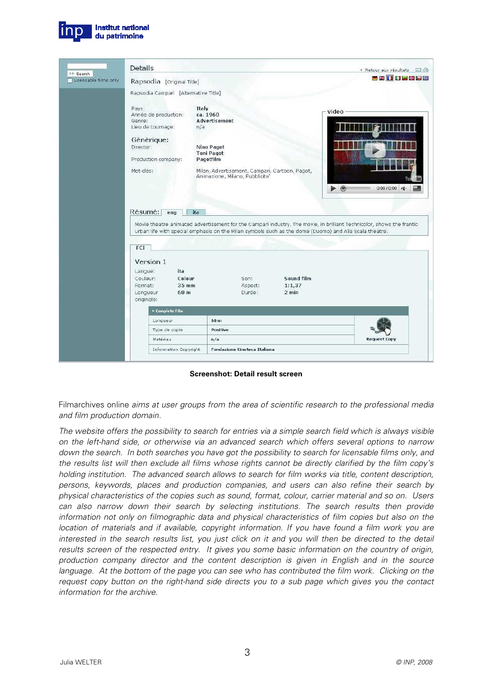

|                                          | Details                                                                                                                     |                                                                                                                                                                                                                                        |                                 |                                    | « Retour aux résultats 国骨 |
|------------------------------------------|-----------------------------------------------------------------------------------------------------------------------------|----------------------------------------------------------------------------------------------------------------------------------------------------------------------------------------------------------------------------------------|---------------------------------|------------------------------------|---------------------------|
| <b>N</b> Search<br>Licensable films only | Rapsodia [Original Title]                                                                                                   |                                                                                                                                                                                                                                        |                                 | <b>EXTIPEDE</b>                    |                           |
|                                          | Rapsodia Campari [Alternative Title]                                                                                        |                                                                                                                                                                                                                                        |                                 |                                    |                           |
|                                          | Pays:<br>Année de production:<br>Genre:<br>Lieu de tournage:<br>Générique:<br>Director:<br>Production company:<br>Mot-clés: | Italy<br>ca. 1960<br><b>Advertisement</b><br>n/a<br>Nino Pagot<br><b>Toni Pagot</b><br>Pagotfilm<br>Milan, Advertisement, Campari, Cartoon, Pagot,<br>Animazione, Milano, Pubblicita'                                                  |                                 | video<br>$\blacktriangleright$ (0) | $0:00 / 0:00$ eg.         |
|                                          | Résumé:<br>ena                                                                                                              | ita<br>Movie theatre animated advertisement for the Campari industry. The movie, in brilliant Technicolor, shows the frantic<br>urban life with special emphasis on the Milan symbols such as the dome (Duomo) and Alla Scala theatre. |                                 |                                    |                           |
|                                          | FCI<br>Version 1<br>ita<br>Langue:<br>Colour<br>Couleur:<br>Format:<br>35 mm<br>Longueur<br>60 m<br>originale:              | Son:<br>Aspect:<br>Durée:                                                                                                                                                                                                              | Sound film<br>1:1.37<br>$2$ min |                                    |                           |
|                                          | » Complete Film                                                                                                             |                                                                                                                                                                                                                                        |                                 |                                    |                           |
|                                          | Longueur                                                                                                                    | 60 <sub>m</sub>                                                                                                                                                                                                                        |                                 |                                    |                           |
|                                          | Type de copie                                                                                                               | Positive                                                                                                                                                                                                                               |                                 |                                    |                           |
|                                          | Matériau                                                                                                                    | n/a                                                                                                                                                                                                                                    |                                 |                                    | <b>Request Copy</b>       |

**Screenshot: Detail result screen** 

Filmarchives online aims at user groups from the area of scientific research to the professional media and film production domain.

The website offers the possibility to search for entries via a simple search field which is always visible on the left-hand side, or otherwise via an advanced search which offers several options to narrow down the search. In both searches you have got the possibility to search for licensable films only, and the results list will then exclude all films whose rights cannot be directly clarified by the film copy's holding institution. The advanced search allows to search for film works via title, content description, persons, keywords, places and production companies, and users can also refine their search by physical characteristics of the copies such as sound, format, colour, carrier material and so on. Users can also narrow down their search by selecting institutions. The search results then provide information not only on filmographic data and physical characteristics of film copies but also on the location of materials and if available, copyright information. If you have found a film work you are interested in the search results list, you just click on it and you will then be directed to the detail results screen of the respected entry. It gives you some basic information on the country of origin, production company director and the content description is given in English and in the source language. At the bottom of the page you can see who has contributed the film work. Clicking on the request copy button on the right-hand side directs you to a sub page which gives you the contact information for the archive.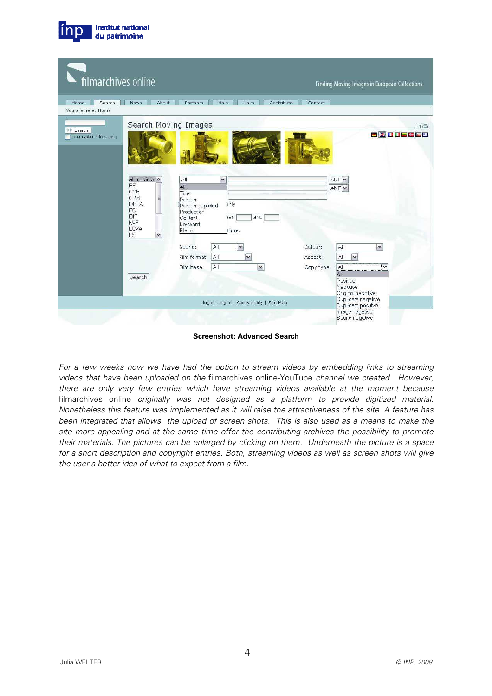| filmarchives online                       |                                                                                                                                                                                                                    |                                                                                                                |                                  | <b>Finding Moving Images in European Collections</b>                                                                                                              |  |
|-------------------------------------------|--------------------------------------------------------------------------------------------------------------------------------------------------------------------------------------------------------------------|----------------------------------------------------------------------------------------------------------------|----------------------------------|-------------------------------------------------------------------------------------------------------------------------------------------------------------------|--|
| Search<br>Home:<br>You are here: Home     | About<br>Partners<br>News:                                                                                                                                                                                         | <b>Links</b><br>Help                                                                                           | <b>Contribute</b><br>Contact     |                                                                                                                                                                   |  |
| <b>⊩⊩</b> Search<br>Licensable films only | Search Moving Images<br>all holdings A<br>All<br><b>BFI</b><br>All<br>CCB<br>Title<br>CRB<br>Person<br>DEFA<br>FCI<br>Production<br>DIF<br>Content<br><b>IWF</b><br>Keyword<br>LCVA<br>Place<br>LS<br>$\checkmark$ | $\checkmark$<br>inly<br><b>[Person</b> depicted<br>and<br>en<br>tions                                          |                                  | 日号<br><b>E RIDERE</b><br>AND <sup>V</sup><br>AND <sup>V</sup>                                                                                                     |  |
|                                           | Sound:<br>Film format:<br>Film base:<br>Search                                                                                                                                                                     | All.<br>$\check{ }$<br>All<br>$\checkmark$<br>All<br>$\checkmark$<br>legal   Log in   Accessibility   Site Map | Colour:<br>Aspect:<br>Copy type: | All<br>$\checkmark$<br>All<br>$\overline{\mathbf{v}}$<br>All<br>V<br>All<br>Positive<br>Negative<br>Original negative<br>Duplicate negative<br>Duplicate positive |  |
|                                           |                                                                                                                                                                                                                    |                                                                                                                |                                  | Image negative<br>Sound negative                                                                                                                                  |  |

**Institut national** du patrimoine

**Screenshot: Advanced Search** 

For a few weeks now we have had the option to stream videos by embedding links to streaming videos that have been uploaded on the filmarchives online-YouTube channel we created. However, there are only very few entries which have streaming videos available at the moment because filmarchives online originally was not designed as a platform to provide digitized material. Nonetheless this feature was implemented as it will raise the attractiveness of the site. A feature has been integrated that allows the upload of screen shots. This is also used as a means to make the site more appealing and at the same time offer the contributing archives the possibility to promote their materials. The pictures can be enlarged by clicking on them. Underneath the picture is a space for a short description and copyright entries. Both, streaming videos as well as screen shots will give the user a better idea of what to expect from a film.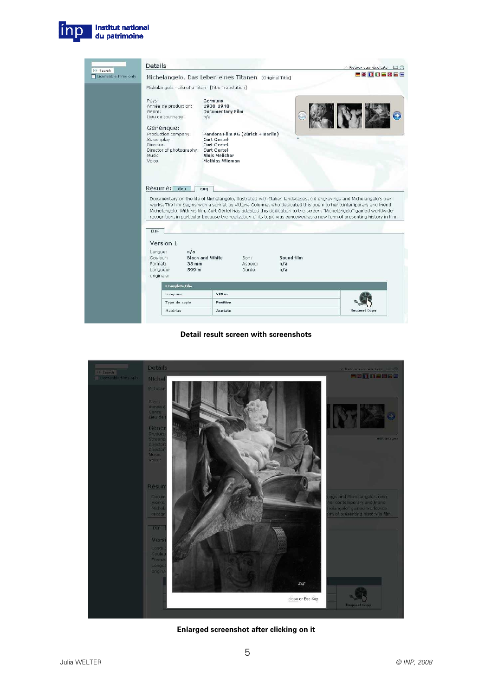

|                                          | Details                                                                                                                                                                                                                                                                                                                                                                                 |                          | « Retour aux résultats □ → |  |
|------------------------------------------|-----------------------------------------------------------------------------------------------------------------------------------------------------------------------------------------------------------------------------------------------------------------------------------------------------------------------------------------------------------------------------------------|--------------------------|----------------------------|--|
| <b>N</b> Search<br>Licensable films only | Michelangelo. Das Leben eines Titanen [Original Title]                                                                                                                                                                                                                                                                                                                                  |                          | 三英百日日照日集                   |  |
|                                          | Michelangelo - Life of a Titan [Title Translation]                                                                                                                                                                                                                                                                                                                                      |                          |                            |  |
|                                          | Pays:<br>Germany<br>Année de production:<br>1938-1940<br>Genre:<br><b>Documentary Film</b><br>Lieu de tournage:<br>n/a<br>Générique:<br>Production company:<br>Pandora Film AG (Zürich + Berlin)<br>Screenplay:<br><b>Curt Oertel</b><br>Director:<br>Curt Oertel<br>Director of photography:<br>Curt Oertel<br><b>Alois Melichar</b><br>Music:<br><b>Mathias Wieman</b><br>Voice:      |                          |                            |  |
|                                          | Résumé:<br>deu<br>eng<br>Documentary on the life of Michelangelo, illustrated with Italian landscapes, old engravings and Michelangelo's own<br>works. The film begins with a sonnet by Vittoria Colonna, who dedicated this poem to her contemporary and friend<br>Michelangelo. With his film, Curt Oertel has adapted this dedication to the screen. "Michelangelo" gained worldwide |                          |                            |  |
|                                          | recognition, in particular because the realization of its topic was conceived as a new form of presenting history in film.<br>DIF                                                                                                                                                                                                                                                       |                          |                            |  |
|                                          | Version 1<br>n/a<br>Langue:<br><b>Black and White</b><br>Couleur:<br>Son:<br>Format:<br>$35 \text{ mm}$<br>Aspect:<br>Longueur<br>599 m<br>Durée:<br>originale:                                                                                                                                                                                                                         | Sound film<br>n/a<br>n/a |                            |  |
|                                          | » Complete Film                                                                                                                                                                                                                                                                                                                                                                         |                          |                            |  |
|                                          | 599 m<br>Longueur                                                                                                                                                                                                                                                                                                                                                                       |                          |                            |  |
|                                          | Type de copie<br><b>Positive</b>                                                                                                                                                                                                                                                                                                                                                        |                          |                            |  |

**Detail result screen with screenshots** 



**Enlarged screenshot after clicking on it**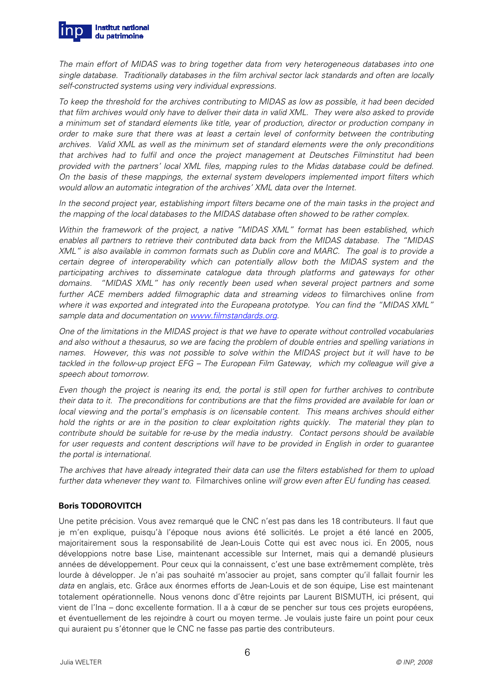

The main effort of MIDAS was to bring together data from very heterogeneous databases into one single database. Traditionally databases in the film archival sector lack standards and often are locally self-constructed systems using very individual expressions.

To keep the threshold for the archives contributing to MIDAS as low as possible, it had been decided that film archives would only have to deliver their data in valid XML. They were also asked to provide a minimum set of standard elements like title, year of production, director or production company in order to make sure that there was at least a certain level of conformity between the contributing archives. Valid XML as well as the minimum set of standard elements were the only preconditions that archives had to fulfil and once the project management at Deutsches Filminstitut had been provided with the partners' local XML files, mapping rules to the Midas database could be defined. On the basis of these mappings, the external system developers implemented import filters which would allow an automatic integration of the archives' XML data over the Internet.

In the second project year, establishing import filters became one of the main tasks in the project and the mapping of the local databases to the MIDAS database often showed to be rather complex.

Within the framework of the project, a native "MIDAS XML" format has been established, which enables all partners to retrieve their contributed data back from the MIDAS database. The "MIDAS XML" is also available in common formats such as Dublin core and MARC. The goal is to provide a certain degree of interoperability which can potentially allow both the MIDAS system and the participating archives to disseminate catalogue data through platforms and gateways for other domains. "MIDAS XML" has only recently been used when several project partners and some further ACE members added filmographic data and streaming videos to filmarchives online from where it was exported and integrated into the Europeana prototype. You can find the "MIDAS XML" sample data and documentation on www.filmstandards.org.

One of the limitations in the MIDAS project is that we have to operate without controlled vocabularies and also without a thesaurus, so we are facing the problem of double entries and spelling variations in names. However, this was not possible to solve within the MIDAS project but it will have to be tackled in the follow-up project EFG – The European Film Gateway, which my colleague will give a speech about tomorrow.

Even though the project is nearing its end, the portal is still open for further archives to contribute their data to it. The preconditions for contributions are that the films provided are available for loan or local viewing and the portal's emphasis is on licensable content. This means archives should either hold the rights or are in the position to clear exploitation rights quickly. The material they plan to contribute should be suitable for re-use by the media industry. Contact persons should be available for user requests and content descriptions will have to be provided in English in order to guarantee the portal is international.

The archives that have already integrated their data can use the filters established for them to upload further data whenever they want to. Filmarchives online will grow even after EU funding has ceased.

### **Boris TODOROVITCH**

Une petite précision. Vous avez remarqué que le CNC n'est pas dans les 18 contributeurs. Il faut que je m'en explique, puisqu'à l'époque nous avions été sollicités. Le projet a été lancé en 2005, majoritairement sous la responsabilité de Jean-Louis Cotte qui est avec nous ici. En 2005, nous développions notre base Lise, maintenant accessible sur Internet, mais qui a demandé plusieurs années de développement. Pour ceux qui la connaissent, c'est une base extrêmement complète, très lourde à développer. Je n'ai pas souhaité m'associer au projet, sans compter qu'il fallait fournir les data en anglais, etc. Grâce aux énormes efforts de Jean-Louis et de son équipe, Lise est maintenant totalement opérationnelle. Nous venons donc d'être rejoints par Laurent BISMUTH, ici présent, qui vient de l'Ina – donc excellente formation. Il a à cœur de se pencher sur tous ces projets européens, et éventuellement de les rejoindre à court ou moyen terme. Je voulais juste faire un point pour ceux qui auraient pu s'étonner que le CNC ne fasse pas partie des contributeurs.